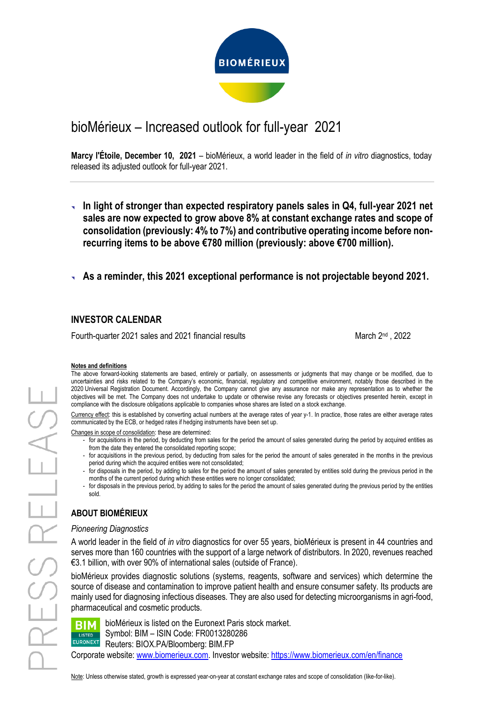

# bioMérieux – Increased outlook for full-year 2021

**Marcy l'Étoile, December 10, 2021** – bioMérieux, a world leader in the field of *in vitro* diagnostics, today released its adjusted outlook for full-year 2021.

- **In light of stronger than expected respiratory panels sales in Q4, full-year 2021 net sales are now expected to grow above 8% at constant exchange rates and scope of consolidation (previously: 4% to 7%) and contributive operating income before nonrecurring items to be above €780 million (previously: above €700 million).**
- **As a reminder, this 2021 exceptional performance is not projectable beyond 2021.**

## **INVESTOR CALENDAR**

Fourth-quarter 2021 sales and 2021 financial results March 2nd , 2022 March 2nd , 2022

#### **Notes and definitions**

The above forward-looking statements are based, entirely or partially, on assessments or judgments that may change or be modified, due to uncertainties and risks related to the Company's economic, financial, regulatory and competitive environment, notably those described in the 2020 Universal Registration Document. Accordingly, the Company cannot give any assurance nor make any representation as to whether the objectives will be met. The Company does not undertake to update or otherwise revise any forecasts or objectives presented herein, except in compliance with the disclosure obligations applicable to companies whose shares are listed on a stock exchange.

Currency effect: this is established by converting actual numbers at the average rates of year y-1. In practice, those rates are either average rates communicated by the ECB, or hedged rates if hedging instruments have been set up.

Changes in scope of consolidation: these are determined:

- for acquisitions in the period, by deducting from sales for the period the amount of sales generated during the period by acquired entities as from the date they entered the consolidated reporting scope;
- for acquisitions in the previous period, by deducting from sales for the period the amount of sales generated in the months in the previous period during which the acquired entities were not consolidated;
- for disposals in the period, by adding to sales for the period the amount of sales generated by entities sold during the previous period in the months of the current period during which these entities were no longer consolidated;
- for disposals in the previous period, by adding to sales for the period the amount of sales generated during the previous period by the entities sold.

## **ABOUT BIOMÉRIEUX**

#### *Pioneering Diagnostics*

A world leader in the field of *in vitro* diagnostics for over 55 years, bioMérieux is present in 44 countries and serves more than 160 countries with the support of a large network of distributors. In 2020, revenues reached €3.1 billion, with over 90% of international sales (outside of France).

bioMérieux provides diagnostic solutions (systems, reagents, software and services) which determine the source of disease and contamination to improve patient health and ensure consumer safety. Its products are mainly used for diagnosing infectious diseases. They are also used for detecting microorganisms in agri-food, pharmaceutical and cosmetic products.

| <b>LISTED</b> |
|---------------|
| EURONEXT      |

bioMérieux is listed on the Euronext Paris stock market. Symbol: BIM – ISIN Code: FR0013280286 Reuters: BIOX.PA/Bloomberg: BIM.FP Corporate website: [www.biomerieux.com.](http://www.biomerieux.com/) Investor website:<https://www.biomerieux.com/en/finance>